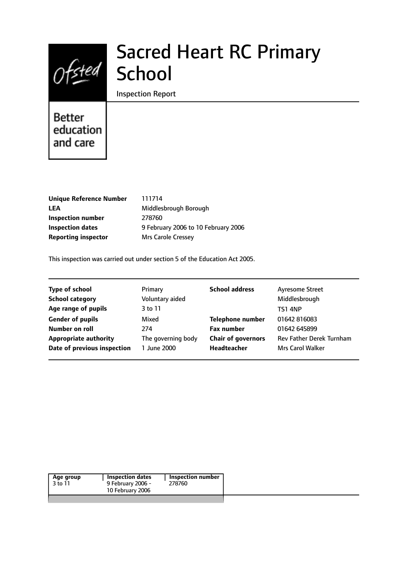# $Ofsted$

## Sacred Heart RC Primary **School**

#### Inspection Report

## **Better** education and care

| <b>Unique Reference Number</b> |
|--------------------------------|
| LEA                            |
| Inspection number              |
| <b>Inspection dates</b>        |
| <b>Reporting inspector</b>     |

**Unique Reference Number** 111714 **LEA** Middlesbrough Borough **Inspection number** 278760 **Inspection dates** 9 February 2006 to 10 February 2006 **Mrs Carole Cressey** 

This inspection was carried out under section 5 of the Education Act 2005.

| <b>Type of school</b>        | Primary            | <b>School address</b>     | <b>Ayresome Street</b>          |
|------------------------------|--------------------|---------------------------|---------------------------------|
| <b>School category</b>       | Voluntary aided    |                           | Middlesbrough                   |
| Age range of pupils          | 3 to 11            |                           | <b>TS1 4NP</b>                  |
| <b>Gender of pupils</b>      | Mixed              | <b>Telephone number</b>   | 01642 816083                    |
| Number on roll               | 274                | <b>Fax number</b>         | 01642 645899                    |
| <b>Appropriate authority</b> | The governing body | <b>Chair of governors</b> | <b>Rev Father Derek Turnham</b> |
| Date of previous inspection  | 1 June 2000        | Headteacher               | <b>Mrs Carol Walker</b>         |

|--|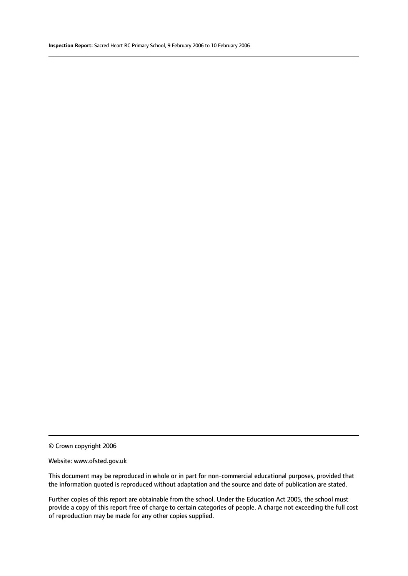© Crown copyright 2006

#### Website: www.ofsted.gov.uk

This document may be reproduced in whole or in part for non-commercial educational purposes, provided that the information quoted is reproduced without adaptation and the source and date of publication are stated.

Further copies of this report are obtainable from the school. Under the Education Act 2005, the school must provide a copy of this report free of charge to certain categories of people. A charge not exceeding the full cost of reproduction may be made for any other copies supplied.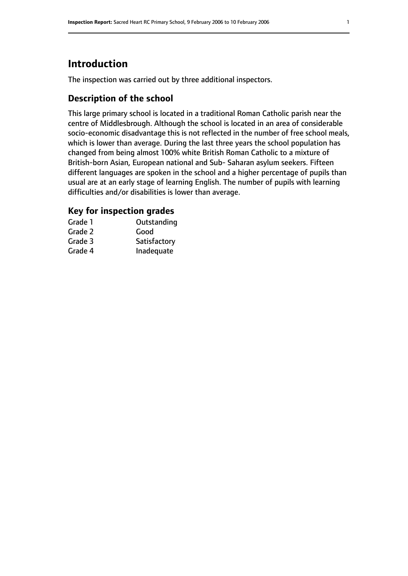### **Introduction**

The inspection was carried out by three additional inspectors.

#### **Description of the school**

This large primary school is located in a traditional Roman Catholic parish near the centre of Middlesbrough. Although the school is located in an area of considerable socio-economic disadvantage this is not reflected in the number of free school meals, which is lower than average. During the last three years the school population has changed from being almost 100% white British Roman Catholic to a mixture of British-born Asian, European national and Sub- Saharan asylum seekers. Fifteen different languages are spoken in the school and a higher percentage of pupils than usual are at an early stage of learning English. The number of pupils with learning difficulties and/or disabilities is lower than average.

#### **Key for inspection grades**

| Grade 1 | Outstanding  |
|---------|--------------|
| Grade 2 | Good         |
| Grade 3 | Satisfactory |
| Grade 4 | Inadequate   |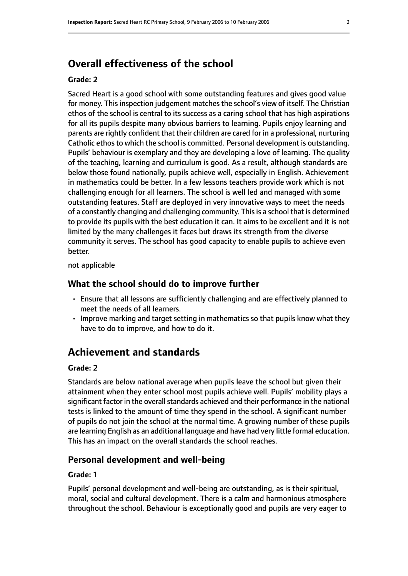#### **Overall effectiveness of the school**

#### **Grade: 2**

Sacred Heart is a good school with some outstanding features and gives good value for money. This inspection judgement matches the school's view of itself. The Christian ethos of the school is central to its success as a caring school that has high aspirations for all its pupils despite many obvious barriers to learning. Pupils enjoy learning and parents are rightly confident that their children are cared for in a professional, nurturing Catholic ethos to which the school is committed. Personal development is outstanding. Pupils' behaviour is exemplary and they are developing a love of learning. The quality of the teaching, learning and curriculum is good. As a result, although standards are below those found nationally, pupils achieve well, especially in English. Achievement in mathematics could be better. In a few lessons teachers provide work which is not challenging enough for all learners. The school is well led and managed with some outstanding features. Staff are deployed in very innovative ways to meet the needs of a constantly changing and challenging community. This is a school that is determined to provide its pupils with the best education it can. It aims to be excellent and it is not limited by the many challenges it faces but draws its strength from the diverse community it serves. The school has good capacity to enable pupils to achieve even better.

not applicable

#### **What the school should do to improve further**

- Ensure that all lessons are sufficiently challenging and are effectively planned to meet the needs of all learners.
- Improve marking and target setting in mathematics so that pupils know what they have to do to improve, and how to do it.

#### **Achievement and standards**

#### **Grade: 2**

Standards are below national average when pupils leave the school but given their attainment when they enter school most pupils achieve well. Pupils' mobility plays a significant factor in the overall standards achieved and their performance in the national tests is linked to the amount of time they spend in the school. A significant number of pupils do not join the school at the normal time. A growing number of these pupils are learning English as an additional language and have had very little formal education. This has an impact on the overall standards the school reaches.

#### **Personal development and well-being**

#### **Grade: 1**

Pupils' personal development and well-being are outstanding, as is their spiritual, moral, social and cultural development. There is a calm and harmonious atmosphere throughout the school. Behaviour is exceptionally good and pupils are very eager to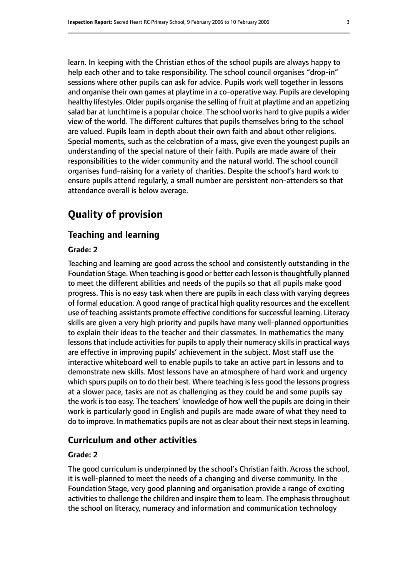learn. In keeping with the Christian ethos of the school pupils are always happy to help each other and to take responsibility. The school council organises "drop-in" sessions where other pupils can ask for advice. Pupils work well together in lessons and organise their own games at playtime in a co-operative way. Pupils are developing healthy lifestyles. Older pupils organise the selling of fruit at playtime and an appetizing salad bar at lunchtime is a popular choice. The school works hard to give pupils a wider view of the world. The different cultures that pupils themselves bring to the school are valued. Pupils learn in depth about their own faith and about other religions. Special moments, such as the celebration of a mass, give even the youngest pupils an understanding of the special nature of their faith. Pupils are made aware of their responsibilities to the wider community and the natural world. The school council organises fund-raising for a variety of charities. Despite the school's hard work to ensure pupils attend regularly, a small number are persistent non-attenders so that attendance overall is below average.

#### **Quality of provision**

#### **Teaching and learning**

#### **Grade: 2**

Teaching and learning are good across the school and consistently outstanding in the Foundation Stage. When teaching is good or better each lesson is thoughtfully planned to meet the different abilities and needs of the pupils so that all pupils make good progress. This is no easy task when there are pupils in each class with varying degrees of formal education. A good range of practical high quality resources and the excellent use of teaching assistants promote effective conditions for successful learning. Literacy skills are given a very high priority and pupils have many well-planned opportunities to explain their ideas to the teacher and their classmates. In mathematics the many lessons that include activities for pupils to apply their numeracy skills in practical ways are effective in improving pupils' achievement in the subject. Most staff use the interactive whiteboard well to enable pupils to take an active part in lessons and to demonstrate new skills. Most lessons have an atmosphere of hard work and urgency which spurs pupils on to do their best. Where teaching is less good the lessons progress at a slower pace, tasks are not as challenging as they could be and some pupils say the work is too easy. The teachers' knowledge of how well the pupils are doing in their work is particularly good in English and pupils are made aware of what they need to do to improve. In mathematics pupils are not as clear about their next steps in learning.

#### **Curriculum and other activities**

#### **Grade: 2**

The good curriculum is underpinned by the school's Christian faith. Across the school, it is well-planned to meet the needs of a changing and diverse community. In the Foundation Stage, very good planning and organisation provide a range of exciting activities to challenge the children and inspire them to learn. The emphasis throughout the school on literacy, numeracy and information and communication technology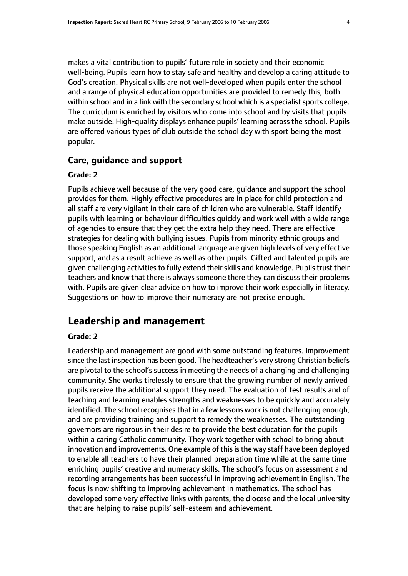makes a vital contribution to pupils' future role in society and their economic well-being. Pupils learn how to stay safe and healthy and develop a caring attitude to God's creation. Physical skills are not well-developed when pupils enter the school and a range of physical education opportunities are provided to remedy this, both within school and in a link with the secondary school which is a specialist sports college. The curriculum is enriched by visitors who come into school and by visits that pupils make outside. High-quality displays enhance pupils' learning across the school. Pupils are offered various types of club outside the school day with sport being the most popular.

#### **Care, guidance and support**

#### **Grade: 2**

Pupils achieve well because of the very good care, guidance and support the school provides for them. Highly effective procedures are in place for child protection and all staff are very vigilant in their care of children who are vulnerable. Staff identify pupils with learning or behaviour difficulties quickly and work well with a wide range of agencies to ensure that they get the extra help they need. There are effective strategies for dealing with bullying issues. Pupils from minority ethnic groups and those speaking English as an additional language are given high levels of very effective support, and as a result achieve as well as other pupils. Gifted and talented pupils are given challenging activities to fully extend their skills and knowledge. Pupils trust their teachers and know that there is always someone there they can discuss their problems with. Pupils are given clear advice on how to improve their work especially in literacy. Suggestions on how to improve their numeracy are not precise enough.

#### **Leadership and management**

#### **Grade: 2**

Leadership and management are good with some outstanding features. Improvement since the last inspection has been good. The headteacher's very strong Christian beliefs are pivotal to the school's success in meeting the needs of a changing and challenging community. She works tirelessly to ensure that the growing number of newly arrived pupils receive the additional support they need. The evaluation of test results and of teaching and learning enables strengths and weaknesses to be quickly and accurately identified. The school recognises that in a few lessons work is not challenging enough, and are providing training and support to remedy the weaknesses. The outstanding governors are rigorous in their desire to provide the best education for the pupils within a caring Catholic community. They work together with school to bring about innovation and improvements. One example of this is the way staff have been deployed to enable all teachers to have their planned preparation time while at the same time enriching pupils' creative and numeracy skills. The school's focus on assessment and recording arrangements has been successful in improving achievement in English. The focus is now shifting to improving achievement in mathematics. The school has developed some very effective links with parents, the diocese and the local university that are helping to raise pupils' self-esteem and achievement.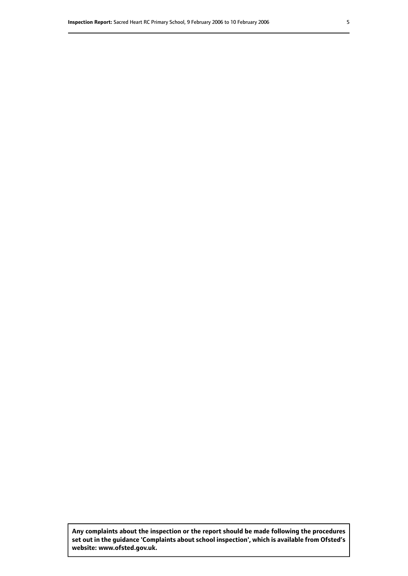**Any complaints about the inspection or the report should be made following the procedures set out inthe guidance 'Complaints about school inspection', whichis available from Ofsted's website: www.ofsted.gov.uk.**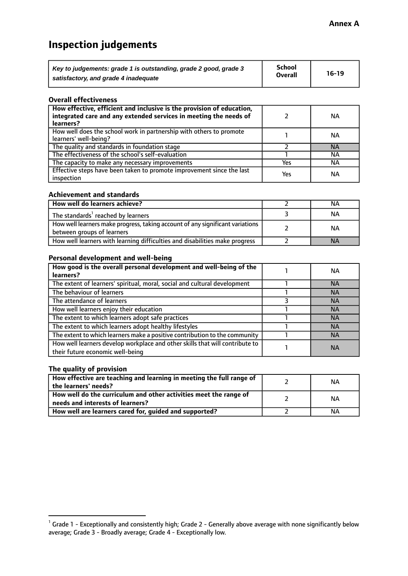## **Inspection judgements**

| Key to judgements: grade 1 is outstanding, grade 2 good, grade 3 | School         | $16-19$ |
|------------------------------------------------------------------|----------------|---------|
| satisfactory, and grade 4 inadequate                             | <b>Overall</b> |         |

#### **Overall effectiveness**

| How effective, efficient and inclusive is the provision of education,<br>integrated care and any extended services in meeting the needs of<br>learners? |     | NА        |
|---------------------------------------------------------------------------------------------------------------------------------------------------------|-----|-----------|
| How well does the school work in partnership with others to promote<br>learners' well-being?                                                            |     | NА        |
| The quality and standards in foundation stage                                                                                                           |     | <b>NA</b> |
| The effectiveness of the school's self-evaluation                                                                                                       |     | NА        |
| The capacity to make any necessary improvements                                                                                                         | Yes | NА        |
| Effective steps have been taken to promote improvement since the last<br>inspection                                                                     | Yes | <b>NA</b> |

#### **Achievement and standards**

| How well do learners achieve?                                                                               | ΝA        |
|-------------------------------------------------------------------------------------------------------------|-----------|
| The standards <sup>1</sup> reached by learners                                                              | NА        |
| How well learners make progress, taking account of any significant variations<br>between groups of learners | <b>NA</b> |
| How well learners with learning difficulties and disabilities make progress                                 | <b>NA</b> |

#### **Personal development and well-being**

| How good is the overall personal development and well-being of the<br>learners?                                  | ΝA        |
|------------------------------------------------------------------------------------------------------------------|-----------|
| The extent of learners' spiritual, moral, social and cultural development                                        | <b>NA</b> |
| The behaviour of learners                                                                                        | <b>NA</b> |
| The attendance of learners                                                                                       | <b>NA</b> |
| How well learners enjoy their education                                                                          | <b>NA</b> |
| The extent to which learners adopt safe practices                                                                | <b>NA</b> |
| The extent to which learners adopt healthy lifestyles                                                            | <b>NA</b> |
| The extent to which learners make a positive contribution to the community                                       | <b>NA</b> |
| How well learners develop workplace and other skills that will contribute to<br>their future economic well-being | <b>NA</b> |

#### **The quality of provision**

| How effective are teaching and learning in meeting the full range of<br>the learners' needs?          | ΝA |
|-------------------------------------------------------------------------------------------------------|----|
| How well do the curriculum and other activities meet the range of<br>needs and interests of learners? | ΝA |
| How well are learners cared for, guided and supported?                                                | NА |

 $^1$  Grade 1 - Exceptionally and consistently high; Grade 2 - Generally above average with none significantly below average; Grade 3 - Broadly average; Grade 4 - Exceptionally low.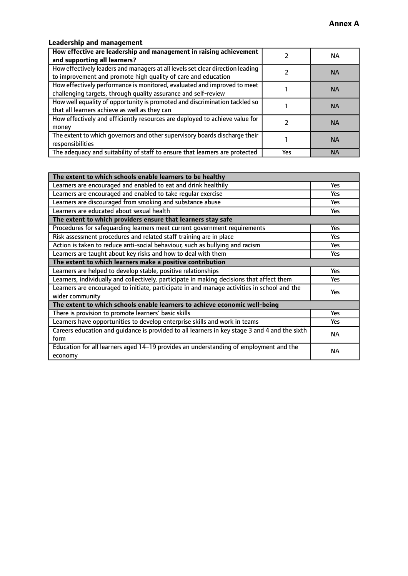#### **Leadership and management**

| How effective are leadership and management in raising achievement<br>and supporting all learners?                                              |     | NA.       |
|-------------------------------------------------------------------------------------------------------------------------------------------------|-----|-----------|
| How effectively leaders and managers at all levels set clear direction leading<br>to improvement and promote high quality of care and education |     | <b>NA</b> |
| How effectively performance is monitored, evaluated and improved to meet<br>challenging targets, through quality assurance and self-review      |     | <b>NA</b> |
| How well equality of opportunity is promoted and discrimination tackled so<br>that all learners achieve as well as they can                     |     | <b>NA</b> |
| How effectively and efficiently resources are deployed to achieve value for<br>money                                                            |     | <b>NA</b> |
| The extent to which governors and other supervisory boards discharge their<br>responsibilities                                                  |     | <b>NA</b> |
| The adequacy and suitability of staff to ensure that learners are protected                                                                     | Yes | <b>NA</b> |

| The extent to which schools enable learners to be healthy                                     |            |  |
|-----------------------------------------------------------------------------------------------|------------|--|
| Learners are encouraged and enabled to eat and drink healthily                                | Yes        |  |
| Learners are encouraged and enabled to take regular exercise                                  | <b>Yes</b> |  |
| Learners are discouraged from smoking and substance abuse                                     | Yes        |  |
| Learners are educated about sexual health                                                     | Yes        |  |
| The extent to which providers ensure that learners stay safe                                  |            |  |
| Procedures for safequarding learners meet current government requirements                     | Yes        |  |
| Risk assessment procedures and related staff training are in place                            | Yes        |  |
| Action is taken to reduce anti-social behaviour, such as bullying and racism                  | <b>Yes</b> |  |
| Learners are taught about key risks and how to deal with them                                 | Yes        |  |
| The extent to which learners make a positive contribution                                     |            |  |
| Learners are helped to develop stable, positive relationships                                 | Yes        |  |
| Learners, individually and collectively, participate in making decisions that affect them     | Yes        |  |
| Learners are encouraged to initiate, participate in and manage activities in school and the   | <b>Yes</b> |  |
| wider community                                                                               |            |  |
| The extent to which schools enable learners to achieve economic well-being                    |            |  |
| There is provision to promote learners' basic skills                                          | Yes        |  |
| Learners have opportunities to develop enterprise skills and work in teams                    | Yes        |  |
| Careers education and quidance is provided to all learners in key stage 3 and 4 and the sixth | <b>NA</b>  |  |
| form                                                                                          |            |  |
| Education for all learners aged 14-19 provides an understanding of employment and the         | <b>NA</b>  |  |
| economy                                                                                       |            |  |